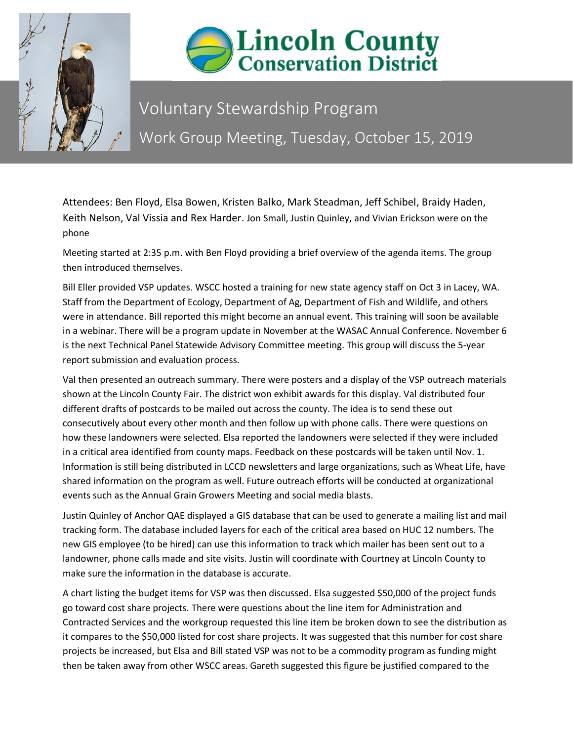



## Voluntary Stewardship Program Work Group Meeting, Tuesday, October 15, 2019

Attendees: Ben Floyd, Elsa Bowen, Kristen Balko, Mark Steadman, Jeff Schibel, Braidy Haden, Keith Nelson, Val Vissia and Rex Harder. Jon Small, Justin Quinley, and Vivian Erickson were on the phone

Meeting started at 2:35 p.m. with Ben Floyd providing a brief overview of the agenda items. The group then introduced themselves.

Bill Eller provided VSP updates. WSCC hosted a training for new state agency staff on Oct 3 in Lacey, WA. Staff from the Department of Ecology, Department of Ag, Department of Fish and Wildlife, and others were in attendance. Bill reported this might become an annual event. This training will soon be available in a webinar. There will be a program update in November at the WASAC Annual Conference. November 6 is the next Technical Panel Statewide Advisory Committee meeting. This group will discuss the 5-year report submission and evaluation process.

Val then presented an outreach summary. There were posters and a display of the VSP outreach materials shown at the Lincoln County Fair. The district won exhibit awards for this display. Val distributed four different drafts of postcards to be mailed out across the county. The idea is to send these out consecutively about every other month and then follow up with phone calls. There were questions on how these landowners were selected. Elsa reported the landowners were selected if they were included in a critical area identified from county maps. Feedback on these postcards will be taken until Nov. 1. Information is still being distributed in LCCD newsletters and large organizations, such as Wheat Life, have shared information on the program as well. Future outreach efforts will be conducted at organizational events such as the Annual Grain Growers Meeting and social media blasts.

Justin Quinley of Anchor QAE displayed a GIS database that can be used to generate a mailing list and mail tracking form. The database included layers for each of the critical area based on HUC 12 numbers. The new GIS employee (to be hired) can use this information to track which mailer has been sent out to a landowner, phone calls made and site visits. Justin will coordinate with Courtney at Lincoln County to make sure the information in the database is accurate.

A chart listing the budget items for VSP was then discussed. Elsa suggested \$50,000 of the project funds go toward cost share projects. There were questions about the line item for Administration and Contracted Services and the workgroup requested this line item be broken down to see the distribution as it compares to the \$50,000 listed for cost share projects. It was suggested that this number for cost share projects be increased, but Elsa and Bill stated VSP was not to be a commodity program as funding might then be taken away from other WSCC areas. Gareth suggested this figure be justified compared to the